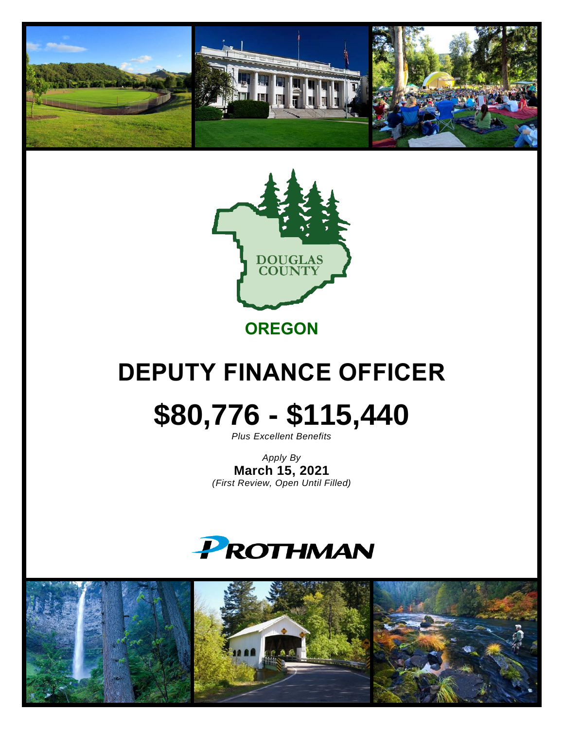



**OREGON**

# **DEPUTY FINANCE OFFICER**

# **\$80,776 - \$115,440**

*Plus Excellent Benefits*

*Apply By* **March 15, 2021** *(First Review, Open Until Filled)*



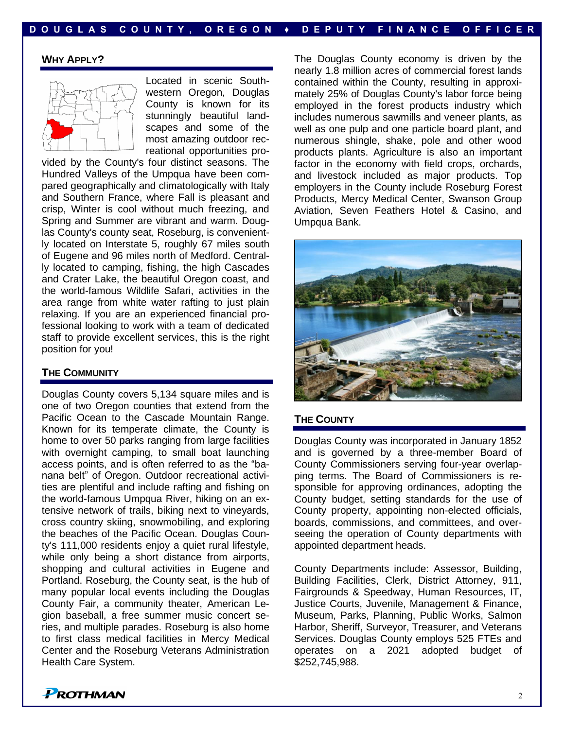# **WHY APPLY?**



Located in scenic Southwestern Oregon, Douglas County is known for its stunningly beautiful landscapes and some of the most amazing outdoor recreational opportunities pro-

vided by the County's four distinct seasons. The Hundred Valleys of the Umpqua have been compared geographically and climatologically with Italy and Southern France, where Fall is pleasant and crisp, Winter is cool without much freezing, and Spring and Summer are vibrant and warm. Douglas County's county seat, Roseburg, is conveniently located on Interstate 5, roughly 67 miles south of Eugene and 96 miles north of Medford. Centrally located to camping, fishing, the high Cascades and Crater Lake, the beautiful Oregon coast, and the world-famous Wildlife Safari, activities in the area range from white water rafting to just plain relaxing. If you are an experienced financial professional looking to work with a team of dedicated staff to provide excellent services, this is the right position for you!

#### **THE COMMUNITY**

Douglas County covers 5,134 square miles and is one of two Oregon counties that extend from the Pacific Ocean to the Cascade Mountain Range. Known for its temperate climate, the County is home to over 50 parks ranging from large facilities with overnight camping, to small boat launching access points, and is often referred to as the "banana belt" of Oregon. Outdoor recreational activities are plentiful and include rafting and fishing on the world-famous Umpqua River, hiking on an extensive network of trails, biking next to vineyards, cross country skiing, snowmobiling, and exploring the beaches of the Pacific Ocean. Douglas County's 111,000 residents enjoy a quiet rural lifestyle, while only being a short distance from airports, shopping and cultural activities in Eugene and Portland. Roseburg, the County seat, is the hub of many popular local events including the Douglas County Fair, a community theater, American Legion baseball, a free summer music concert series, and multiple parades. Roseburg is also home to first class medical facilities in Mercy Medical Center and the Roseburg Veterans Administration Health Care System.

The Douglas County economy is driven by the nearly 1.8 million acres of commercial forest lands contained within the County, resulting in approximately 25% of Douglas County's labor force being employed in the forest products industry which includes numerous sawmills and veneer plants, as well as one pulp and one particle board plant, and numerous shingle, shake, pole and other wood products plants. Agriculture is also an important factor in the economy with field crops, orchards, and livestock included as major products. Top employers in the County include Roseburg Forest Products, Mercy Medical Center, Swanson Group Aviation, Seven Feathers Hotel & Casino, and Umpqua Bank.



# **THE COUNTY**

Douglas County was incorporated in January 1852 and is governed by a three-member Board of County Commissioners serving four-year overlapping terms. The Board of Commissioners is responsible for approving ordinances, adopting the County budget, setting standards for the use of County property, appointing non-elected officials, boards, commissions, and committees, and overseeing the operation of County departments with appointed department heads.

County Departments include: Assessor, Building, Building Facilities, Clerk, District Attorney, 911, Fairgrounds & Speedway, Human Resources, IT, Justice Courts, Juvenile, Management & Finance, Museum, Parks, Planning, Public Works, Salmon Harbor, Sheriff, Surveyor, Treasurer, and Veterans Services. Douglas County employs 525 FTEs and operates on a 2021 adopted budget of \$252,745,988.

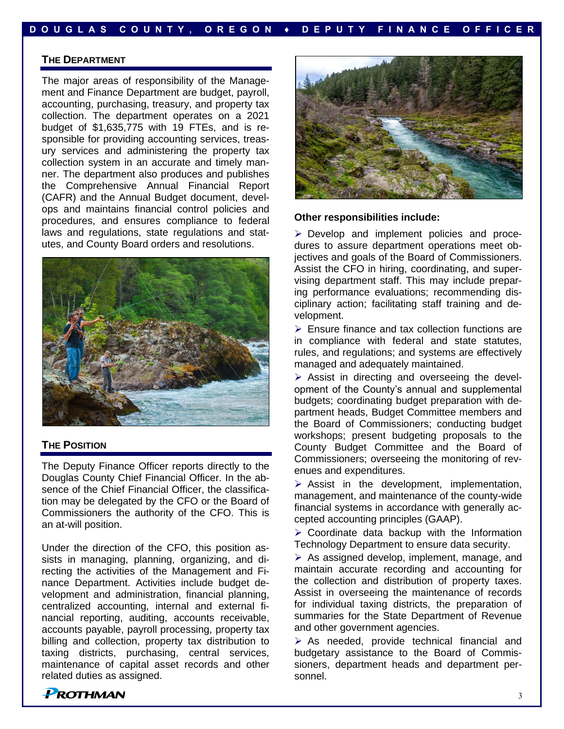#### **THE DEPARTMENT**

The major areas of responsibility of the Management and Finance Department are budget, payroll, accounting, purchasing, treasury, and property tax collection. The department operates on a 2021 budget of \$1,635,775 with 19 FTEs, and is responsible for providing accounting services, treasury services and administering the property tax collection system in an accurate and timely manner. The department also produces and publishes the Comprehensive Annual Financial Report (CAFR) and the Annual Budget document, develops and maintains financial control policies and procedures, and ensures compliance to federal laws and regulations, state regulations and statutes, and County Board orders and resolutions.



#### **THE POSITION**

The Deputy Finance Officer reports directly to the Douglas County Chief Financial Officer. In the absence of the Chief Financial Officer, the classification may be delegated by the CFO or the Board of Commissioners the authority of the CFO. This is an at-will position.

Under the direction of the CFO, this position assists in managing, planning, organizing, and directing the activities of the Management and Finance Department. Activities include budget development and administration, financial planning, centralized accounting, internal and external financial reporting, auditing, accounts receivable, accounts payable, payroll processing, property tax billing and collection, property tax distribution to taxing districts, purchasing, central services, maintenance of capital asset records and other related duties as assigned.



**Other responsibilities include:**

➢ Develop and implement policies and procedures to assure department operations meet objectives and goals of the Board of Commissioners. Assist the CFO in hiring, coordinating, and supervising department staff. This may include preparing performance evaluations; recommending disciplinary action; facilitating staff training and development.

➢ Ensure finance and tax collection functions are in compliance with federal and state statutes, rules, and regulations; and systems are effectively managed and adequately maintained.

➢ Assist in directing and overseeing the development of the County's annual and supplemental budgets; coordinating budget preparation with department heads, Budget Committee members and the Board of Commissioners; conducting budget workshops; present budgeting proposals to the County Budget Committee and the Board of Commissioners; overseeing the monitoring of revenues and expenditures.

 $\triangleright$  Assist in the development, implementation, management, and maintenance of the county-wide financial systems in accordance with generally accepted accounting principles (GAAP).

 $\triangleright$  Coordinate data backup with the Information Technology Department to ensure data security.

➢ As assigned develop, implement, manage, and maintain accurate recording and accounting for the collection and distribution of property taxes. Assist in overseeing the maintenance of records for individual taxing districts, the preparation of summaries for the State Department of Revenue and other government agencies.

➢ As needed, provide technical financial and budgetary assistance to the Board of Commissioners, department heads and department personnel.